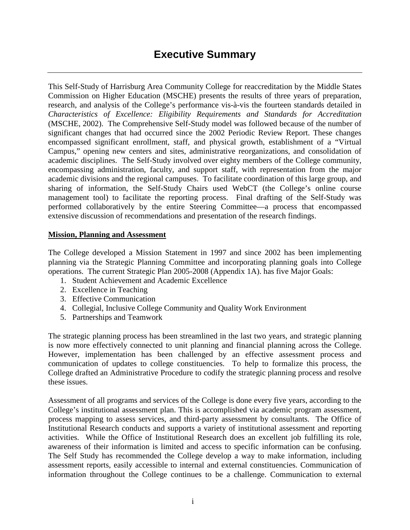This Self-Study of Harrisburg Area Community College for reaccreditation by the Middle States Commission on Higher Education (MSCHE) presents the results of three years of preparation, research, and analysis of the College's performance vis-à-vis the fourteen standards detailed in *Characteristics of Excellence: Eligibility Requirements and Standards for Accreditation* (MSCHE, 2002). The Comprehensive Self-Study model was followed because of the number of significant changes that had occurred since the 2002 Periodic Review Report. These changes encompassed significant enrollment, staff, and physical growth, establishment of a "Virtual Campus," opening new centers and sites, administrative reorganizations, and consolidation of academic disciplines. The Self-Study involved over eighty members of the College community, encompassing administration, faculty, and support staff, with representation from the major academic divisions and the regional campuses. To facilitate coordination of this large group, and sharing of information, the Self-Study Chairs used WebCT (the College's online course management tool) to facilitate the reporting process. Final drafting of the Self-Study was performed collaboratively by the entire Steering Committee—a process that encompassed extensive discussion of recommendations and presentation of the research findings.

# **Mission, Planning and Assessment**

The College developed a Mission Statement in 1997 and since 2002 has been implementing planning via the Strategic Planning Committee and incorporating planning goals into College operations. The current Strategic Plan 2005-2008 (Appendix 1A). has five Major Goals:

- 1. Student Achievement and Academic Excellence
- 2. Excellence in Teaching
- 3. Effective Communication
- 4. Collegial, Inclusive College Community and Quality Work Environment
- 5. Partnerships and Teamwork

The strategic planning process has been streamlined in the last two years, and strategic planning is now more effectively connected to unit planning and financial planning across the College. However, implementation has been challenged by an effective assessment process and communication of updates to college constituencies. To help to formalize this process, the College drafted an Administrative Procedure to codify the strategic planning process and resolve these issues.

Assessment of all programs and services of the College is done every five years, according to the College's institutional assessment plan. This is accomplished via academic program assessment, process mapping to assess services, and third-party assessment by consultants. The Office of Institutional Research conducts and supports a variety of institutional assessment and reporting activities. While the Office of Institutional Research does an excellent job fulfilling its role, awareness of their information is limited and access to specific information can be confusing. The Self Study has recommended the College develop a way to make information, including assessment reports, easily accessible to internal and external constituencies. Communication of information throughout the College continues to be a challenge. Communication to external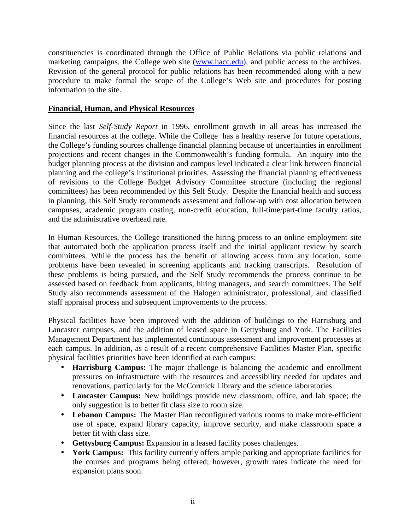constituencies is coordinated through the Office of Public Relations via public relations and marketing campaigns, the College web site (www.hacc.edu), and public access to the archives. Revision of the general protocol for public relations has been recommended along with a new procedure to make formal the scope of the College's Web site and procedures for posting information to the site.

## **Financial, Human, and Physical Resources**

Since the last *Self-Study Report* in 1996, enrollment growth in all areas has increased the financial resources at the college. While the College has a healthy reserve for future operations, the College's funding sources challenge financial planning because of uncertainties in enrollment projections and recent changes in the Commonwealth's funding formula. An inquiry into the budget planning process at the division and campus level indicated a clear link between financial planning and the college's institutional priorities. Assessing the financial planning effectiveness of revisions to the College Budget Advisory Committee structure (including the regional committees) has been recommended by this Self Study. Despite the financial health and success in planning, this Self Study recommends assessment and follow-up with cost allocation between campuses, academic program costing, non-credit education, full-time/part-time faculty ratios, and the administrative overhead rate.

In Human Resources, the College transitioned the hiring process to an online employment site that automated both the application process itself and the initial applicant review by search committees. While the process has the benefit of allowing access from any location, some problems have been revealed in screening applicants and tracking transcripts. Resolution of these problems is being pursued, and the Self Study recommends the process continue to be assessed based on feedback from applicants, hiring managers, and search committees. The Self Study also recommends assessment of the Halogen administrator, professional, and classified staff appraisal process and subsequent improvements to the process.

Physical facilities have been improved with the addition of buildings to the Harrisburg and Lancaster campuses, and the addition of leased space in Gettysburg and York. The Facilities Management Department has implemented continuous assessment and improvement processes at each campus. In addition, as a result of a recent comprehensive Facilities Master Plan, specific physical facilities priorities have been identified at each campus:

- **Harrisburg Campus:** The major challenge is balancing the academic and enrollment pressures on infrastructure with the resources and accessibility needed for updates and renovations, particularly for the McCormick Library and the science laboratories.
- **Lancaster Campus:** New buildings provide new classroom, office, and lab space; the only suggestion is to better fit class size to room size.
- **Lebanon Campus:** The Master Plan reconfigured various rooms to make more-efficient use of space, expand library capacity, improve security, and make classroom space a better fit with class size.
- **Gettysburg Campus:** Expansion in a leased facility poses challenges.
- **York Campus:** This facility currently offers ample parking and appropriate facilities for the courses and programs being offered; however, growth rates indicate the need for expansion plans soon.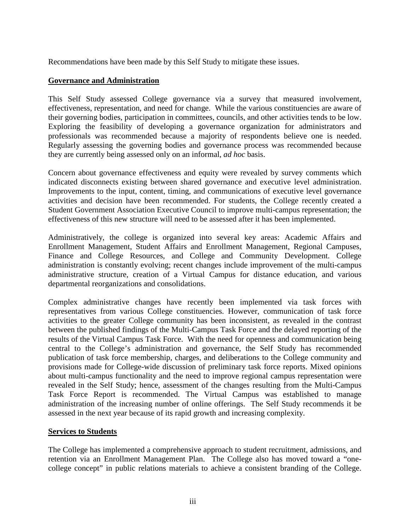Recommendations have been made by this Self Study to mitigate these issues.

#### **Governance and Administration**

This Self Study assessed College governance via a survey that measured involvement, effectiveness, representation, and need for change. While the various constituencies are aware of their governing bodies, participation in committees, councils, and other activities tends to be low. Exploring the feasibility of developing a governance organization for administrators and professionals was recommended because a majority of respondents believe one is needed. Regularly assessing the governing bodies and governance process was recommended because they are currently being assessed only on an informal, *ad hoc* basis.

Concern about governance effectiveness and equity were revealed by survey comments which indicated disconnects existing between shared governance and executive level administration. Improvements to the input, content, timing, and communications of executive level governance activities and decision have been recommended. For students, the College recently created a Student Government Association Executive Council to improve multi-campus representation; the effectiveness of this new structure will need to be assessed after it has been implemented.

Administratively, the college is organized into several key areas: Academic Affairs and Enrollment Management, Student Affairs and Enrollment Management, Regional Campuses, Finance and College Resources, and College and Community Development. College administration is constantly evolving; recent changes include improvement of the multi-campus administrative structure, creation of a Virtual Campus for distance education, and various departmental reorganizations and consolidations.

Complex administrative changes have recently been implemented via task forces with representatives from various College constituencies. However, communication of task force activities to the greater College community has been inconsistent, as revealed in the contrast between the published findings of the Multi-Campus Task Force and the delayed reporting of the results of the Virtual Campus Task Force. With the need for openness and communication being central to the College's administration and governance, the Self Study has recommended publication of task force membership, charges, and deliberations to the College community and provisions made for College-wide discussion of preliminary task force reports. Mixed opinions about multi-campus functionality and the need to improve regional campus representation were revealed in the Self Study; hence, assessment of the changes resulting from the Multi-Campus Task Force Report is recommended. The Virtual Campus was established to manage administration of the increasing number of online offerings. The Self Study recommends it be assessed in the next year because of its rapid growth and increasing complexity.

## **Services to Students**

The College has implemented a comprehensive approach to student recruitment, admissions, and retention via an Enrollment Management Plan. The College also has moved toward a "onecollege concept" in public relations materials to achieve a consistent branding of the College.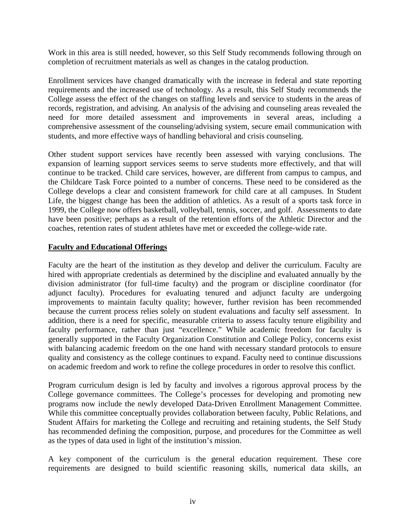Work in this area is still needed, however, so this Self Study recommends following through on completion of recruitment materials as well as changes in the catalog production.

Enrollment services have changed dramatically with the increase in federal and state reporting requirements and the increased use of technology. As a result, this Self Study recommends the College assess the effect of the changes on staffing levels and service to students in the areas of records, registration, and advising. An analysis of the advising and counseling areas revealed the need for more detailed assessment and improvements in several areas, including a comprehensive assessment of the counseling/advising system, secure email communication with students, and more effective ways of handling behavioral and crisis counseling.

Other student support services have recently been assessed with varying conclusions. The expansion of learning support services seems to serve students more effectively, and that will continue to be tracked. Child care services, however, are different from campus to campus, and the Childcare Task Force pointed to a number of concerns. These need to be considered as the College develops a clear and consistent framework for child care at all campuses. In Student Life, the biggest change has been the addition of athletics. As a result of a sports task force in 1999, the College now offers basketball, volleyball, tennis, soccer, and golf. Assessments to date have been positive; perhaps as a result of the retention efforts of the Athletic Director and the coaches, retention rates of student athletes have met or exceeded the college-wide rate.

### **Faculty and Educational Offerings**

Faculty are the heart of the institution as they develop and deliver the curriculum. Faculty are hired with appropriate credentials as determined by the discipline and evaluated annually by the division administrator (for full-time faculty) and the program or discipline coordinator (for adjunct faculty). Procedures for evaluating tenured and adjunct faculty are undergoing improvements to maintain faculty quality; however, further revision has been recommended because the current process relies solely on student evaluations and faculty self assessment. In addition, there is a need for specific, measurable criteria to assess faculty tenure eligibility and faculty performance, rather than just "excellence." While academic freedom for faculty is generally supported in the Faculty Organization Constitution and College Policy, concerns exist with balancing academic freedom on the one hand with necessary standard protocols to ensure quality and consistency as the college continues to expand. Faculty need to continue discussions on academic freedom and work to refine the college procedures in order to resolve this conflict.

Program curriculum design is led by faculty and involves a rigorous approval process by the College governance committees. The College's processes for developing and promoting new programs now include the newly developed Data-Driven Enrollment Management Committee. While this committee conceptually provides collaboration between faculty, Public Relations, and Student Affairs for marketing the College and recruiting and retaining students, the Self Study has recommended defining the composition, purpose, and procedures for the Committee as well as the types of data used in light of the institution's mission.

A key component of the curriculum is the general education requirement. These core requirements are designed to build scientific reasoning skills, numerical data skills, an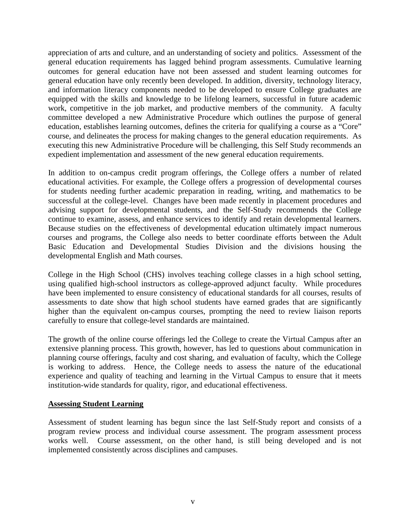appreciation of arts and culture, and an understanding of society and politics. Assessment of the general education requirements has lagged behind program assessments. Cumulative learning outcomes for general education have not been assessed and student learning outcomes for general education have only recently been developed. In addition, diversity, technology literacy, and information literacy components needed to be developed to ensure College graduates are equipped with the skills and knowledge to be lifelong learners, successful in future academic work, competitive in the job market, and productive members of the community. A faculty committee developed a new Administrative Procedure which outlines the purpose of general education, establishes learning outcomes, defines the criteria for qualifying a course as a "Core" course, and delineates the process for making changes to the general education requirements. As executing this new Administrative Procedure will be challenging, this Self Study recommends an expedient implementation and assessment of the new general education requirements.

In addition to on-campus credit program offerings, the College offers a number of related educational activities. For example, the College offers a progression of developmental courses for students needing further academic preparation in reading, writing, and mathematics to be successful at the college-level. Changes have been made recently in placement procedures and advising support for developmental students, and the Self-Study recommends the College continue to examine, assess, and enhance services to identify and retain developmental learners. Because studies on the effectiveness of developmental education ultimately impact numerous courses and programs, the College also needs to better coordinate efforts between the Adult Basic Education and Developmental Studies Division and the divisions housing the developmental English and Math courses.

College in the High School (CHS) involves teaching college classes in a high school setting, using qualified high-school instructors as college-approved adjunct faculty. While procedures have been implemented to ensure consistency of educational standards for all courses, results of assessments to date show that high school students have earned grades that are significantly higher than the equivalent on-campus courses, prompting the need to review liaison reports carefully to ensure that college-level standards are maintained.

The growth of the online course offerings led the College to create the Virtual Campus after an extensive planning process. This growth, however, has led to questions about communication in planning course offerings, faculty and cost sharing, and evaluation of faculty, which the College is working to address. Hence, the College needs to assess the nature of the educational experience and quality of teaching and learning in the Virtual Campus to ensure that it meets institution-wide standards for quality, rigor, and educational effectiveness.

#### **Assessing Student Learning**

Assessment of student learning has begun since the last Self-Study report and consists of a program review process and individual course assessment. The program assessment process works well. Course assessment, on the other hand, is still being developed and is not implemented consistently across disciplines and campuses.